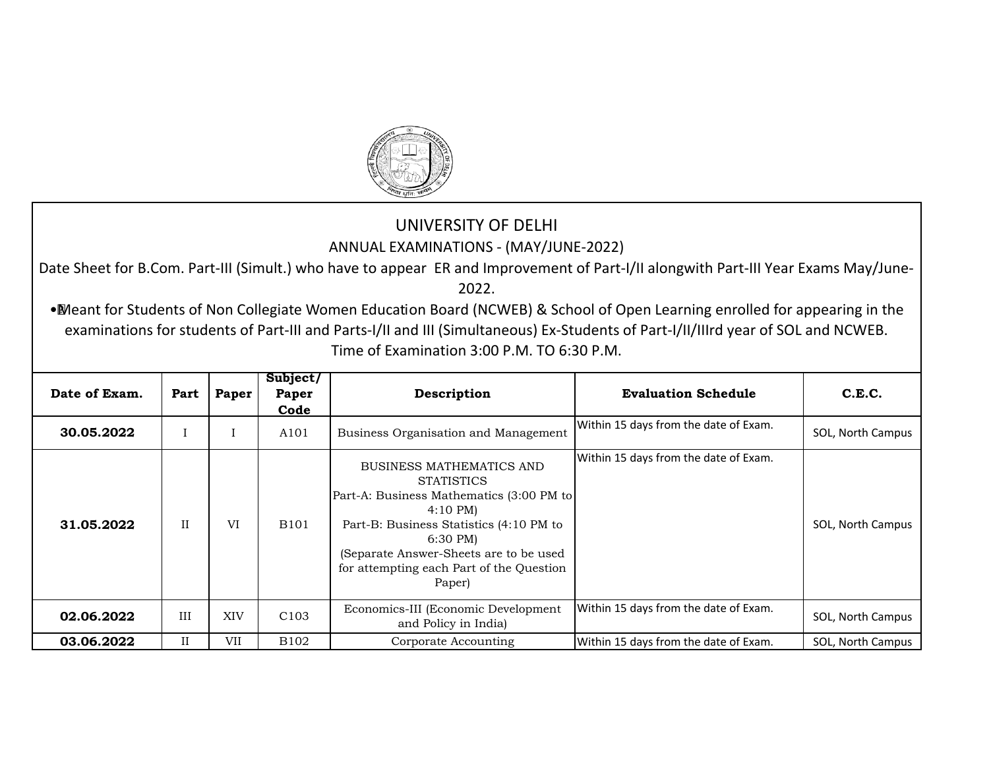

## UNIVERSITY OF DELHI ANNUAL EXAMINATIONS - (MAY/JUNE-2022)

Date Sheet for B.Com. Part-III (Simult.) who have to appear ER and Improvement of Part-I/II alongwith Part-III Year Exams May/June-2022.

•Meant for Students of Non Collegiate Women Education Board (NCWEB) & School of Open Learning enrolled for appearing in the examinations for students of Part-III and Parts-I/II and III (Simultaneous) Ex-Students of Part-I/II/IIIrd year of SOL and NCWEB. Time of Examination 3:00 P.M. TO 6:30 P.M.

| Date of Exam. | Part | Paper      | Subject/<br>Paper<br>Code | Description                                                                                                                                                                                                                                                                           | <b>Evaluation Schedule</b>            | C.E.C.            |
|---------------|------|------------|---------------------------|---------------------------------------------------------------------------------------------------------------------------------------------------------------------------------------------------------------------------------------------------------------------------------------|---------------------------------------|-------------------|
| 30.05.2022    |      |            | A101                      | Business Organisation and Management                                                                                                                                                                                                                                                  | Within 15 days from the date of Exam. | SOL, North Campus |
| 31.05.2022    | H    | VI         | <b>B101</b>               | <b>BUSINESS MATHEMATICS AND</b><br><b>STATISTICS</b><br>Part-A: Business Mathematics (3:00 PM to<br>$4:10 \text{ PM}$<br>Part-B: Business Statistics (4:10 PM to<br>$6:30 \text{ PM}$<br>(Separate Answer-Sheets are to be used<br>for attempting each Part of the Question<br>Paper) | Within 15 days from the date of Exam. | SOL, North Campus |
| 02.06.2022    | III  | <b>XIV</b> | C <sub>103</sub>          | Economics-III (Economic Development<br>and Policy in India)                                                                                                                                                                                                                           | Within 15 days from the date of Exam. | SOL, North Campus |
| 03.06.2022    | II   | VII        | B <sub>102</sub>          | Corporate Accounting                                                                                                                                                                                                                                                                  | Within 15 days from the date of Exam. | SOL, North Campus |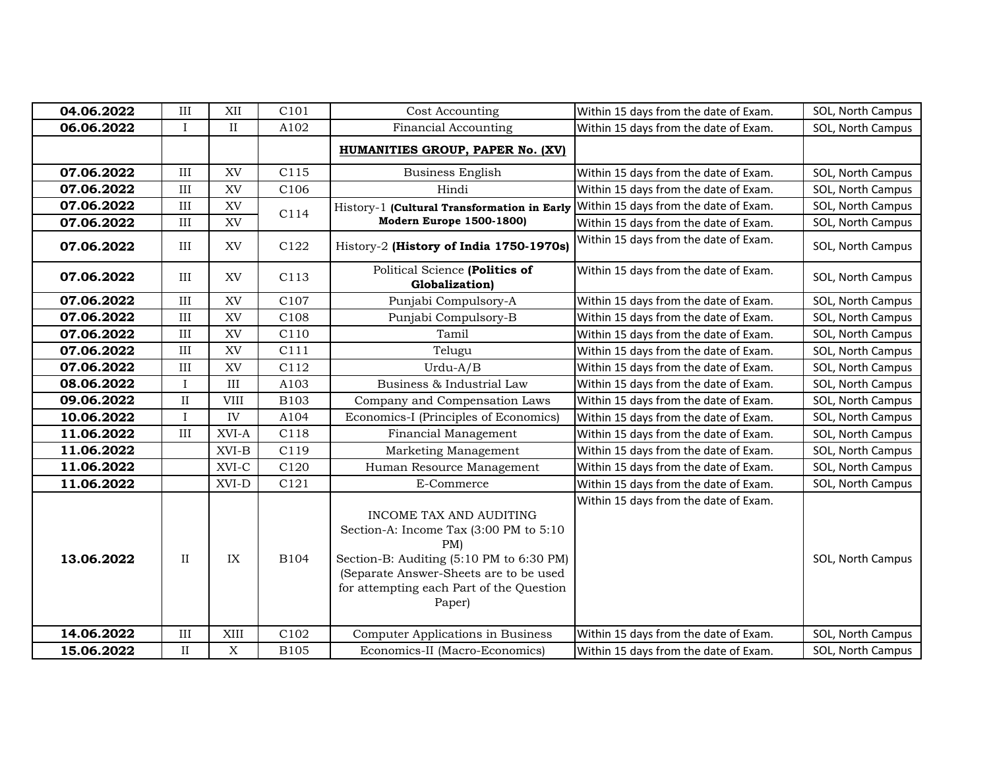| 04.06.2022 | III          | XII         | C101             | Cost Accounting                                                                                                                                                                                                         | Within 15 days from the date of Exam. | SOL, North Campus |
|------------|--------------|-------------|------------------|-------------------------------------------------------------------------------------------------------------------------------------------------------------------------------------------------------------------------|---------------------------------------|-------------------|
| 06.06.2022 | $\mathbf{I}$ | $\rm II$    | A102             | <b>Financial Accounting</b>                                                                                                                                                                                             | Within 15 days from the date of Exam. | SOL, North Campus |
|            |              |             |                  | HUMANITIES GROUP, PAPER No. (XV)                                                                                                                                                                                        |                                       |                   |
| 07.06.2022 | III          | XV          | C115             | <b>Business English</b>                                                                                                                                                                                                 | Within 15 days from the date of Exam. | SOL, North Campus |
| 07.06.2022 | III          | XV          | C106             | Hindi                                                                                                                                                                                                                   | Within 15 days from the date of Exam. | SOL, North Campus |
| 07.06.2022 | III          | XV          | C114             | History-1 (Cultural Transformation in Early<br>Modern Europe 1500-1800)                                                                                                                                                 | Within 15 days from the date of Exam. | SOL, North Campus |
| 07.06.2022 | III          | XV          |                  |                                                                                                                                                                                                                         | Within 15 days from the date of Exam. | SOL, North Campus |
| 07.06.2022 | III          | XV          | C122             | History-2 (History of India 1750-1970s)                                                                                                                                                                                 | Within 15 days from the date of Exam. | SOL, North Campus |
| 07.06.2022 | III          | XV          | C <sub>113</sub> | Political Science (Politics of<br>Globalization)                                                                                                                                                                        | Within 15 days from the date of Exam. | SOL, North Campus |
| 07.06.2022 | III          | XV          | C107             | Punjabi Compulsory-A                                                                                                                                                                                                    | Within 15 days from the date of Exam. | SOL, North Campus |
| 07.06.2022 | III          | XV          | C108             | Punjabi Compulsory-B                                                                                                                                                                                                    | Within 15 days from the date of Exam. | SOL, North Campus |
| 07.06.2022 | III          | XV          | C110             | Tamil                                                                                                                                                                                                                   | Within 15 days from the date of Exam. | SOL, North Campus |
| 07.06.2022 | III          | XV          | C111             | Telugu                                                                                                                                                                                                                  | Within 15 days from the date of Exam. | SOL, North Campus |
| 07.06.2022 | III          | XV          | C112             | $Urdu-A/B$                                                                                                                                                                                                              | Within 15 days from the date of Exam. | SOL, North Campus |
| 08.06.2022 | $\mathbf{I}$ | III         | A103             | Business & Industrial Law                                                                                                                                                                                               | Within 15 days from the date of Exam. | SOL, North Campus |
| 09.06.2022 | $\rm II$     | <b>VIII</b> | <b>B103</b>      | Company and Compensation Laws                                                                                                                                                                                           | Within 15 days from the date of Exam. | SOL, North Campus |
| 10.06.2022 | Ι            | IV          | A104             | Economics-I (Principles of Economics)                                                                                                                                                                                   | Within 15 days from the date of Exam. | SOL, North Campus |
| 11.06.2022 | III          | XVI-A       | C118             | Financial Management                                                                                                                                                                                                    | Within 15 days from the date of Exam. | SOL, North Campus |
| 11.06.2022 |              | $XVI-B$     | C119             | Marketing Management                                                                                                                                                                                                    | Within 15 days from the date of Exam. | SOL, North Campus |
| 11.06.2022 |              | $XVI-C$     | C120             | Human Resource Management                                                                                                                                                                                               | Within 15 days from the date of Exam. | SOL, North Campus |
| 11.06.2022 |              | XVI-D       | C121             | E-Commerce                                                                                                                                                                                                              | Within 15 days from the date of Exam. | SOL, North Campus |
| 13.06.2022 | $\rm II$     | IX          | B104             | INCOME TAX AND AUDITING<br>Section-A: Income Tax (3:00 PM to 5:10<br>$PM$ )<br>Section-B: Auditing (5:10 PM to 6:30 PM)<br>(Separate Answer-Sheets are to be used<br>for attempting each Part of the Question<br>Paper) | Within 15 days from the date of Exam. | SOL, North Campus |
| 14.06.2022 | $\rm III$    | XIII        | C102             | Computer Applications in Business                                                                                                                                                                                       | Within 15 days from the date of Exam. | SOL, North Campus |
| 15.06.2022 | $\rm II$     | $\mathbf X$ | <b>B105</b>      | Economics-II (Macro-Economics)                                                                                                                                                                                          | Within 15 days from the date of Exam. | SOL, North Campus |